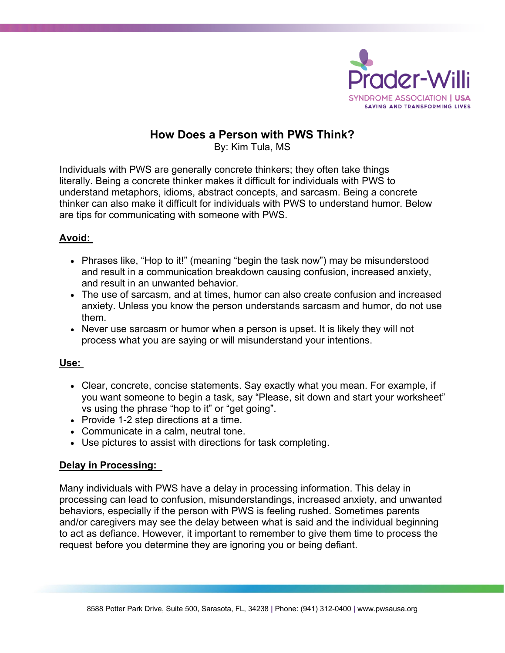

# **How Does a Person with PWS Think?**

By: Kim Tula, MS

Individuals with PWS are generally concrete thinkers; they often take things literally. Being a concrete thinker makes it difficult for individuals with PWS to understand metaphors, idioms, abstract concepts, and sarcasm. Being a concrete thinker can also make it difficult for individuals with PWS to understand humor. Below are tips for communicating with someone with PWS.

## **Avoid:**

- Phrases like, "Hop to it!" (meaning "begin the task now") may be misunderstood and result in a communication breakdown causing confusion, increased anxiety, and result in an unwanted behavior.
- The use of sarcasm, and at times, humor can also create confusion and increased anxiety. Unless you know the person understands sarcasm and humor, do not use them.
- Never use sarcasm or humor when a person is upset. It is likely they will not process what you are saying or will misunderstand your intentions.

#### **Use:**

- Clear, concrete, concise statements. Say exactly what you mean. For example, if you want someone to begin a task, say "Please, sit down and start your worksheet" vs using the phrase "hop to it" or "get going".
- Provide 1-2 step directions at a time.
- Communicate in a calm, neutral tone.
- Use pictures to assist with directions for task completing.

### **Delay in Processing:**

Many individuals with PWS have a delay in processing information. This delay in processing can lead to confusion, misunderstandings, increased anxiety, and unwanted behaviors, especially if the person with PWS is feeling rushed. Sometimes parents and/or caregivers may see the delay between what is said and the individual beginning to act as defiance. However, it important to remember to give them time to process the request before you determine they are ignoring you or being defiant.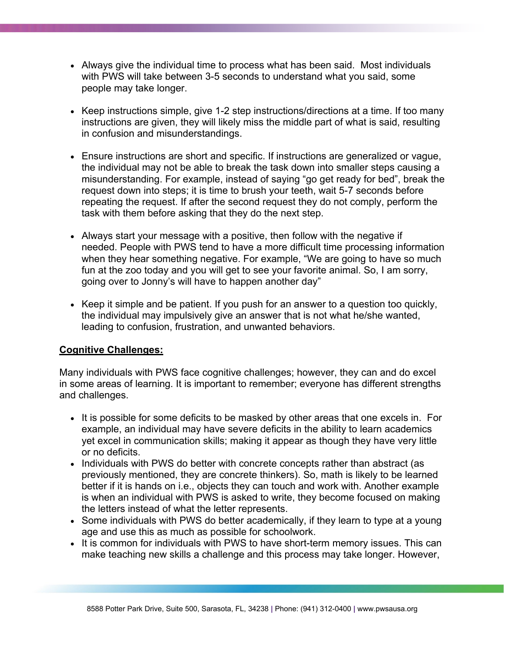- Always give the individual time to process what has been said. Most individuals with PWS will take between 3-5 seconds to understand what you said, some people may take longer.
- Keep instructions simple, give 1-2 step instructions/directions at a time. If too many instructions are given, they will likely miss the middle part of what is said, resulting in confusion and misunderstandings.
- Ensure instructions are short and specific. If instructions are generalized or vague, the individual may not be able to break the task down into smaller steps causing a misunderstanding. For example, instead of saying "go get ready for bed", break the request down into steps; it is time to brush your teeth, wait 5-7 seconds before repeating the request. If after the second request they do not comply, perform the task with them before asking that they do the next step.
- Always start your message with a positive, then follow with the negative if needed. People with PWS tend to have a more difficult time processing information when they hear something negative. For example, "We are going to have so much fun at the zoo today and you will get to see your favorite animal. So, I am sorry, going over to Jonny's will have to happen another day"
- Keep it simple and be patient. If you push for an answer to a question too quickly, the individual may impulsively give an answer that is not what he/she wanted, leading to confusion, frustration, and unwanted behaviors.

### **Cognitive Challenges:**

Many individuals with PWS face cognitive challenges; however, they can and do excel in some areas of learning. It is important to remember; everyone has different strengths and challenges.

- It is possible for some deficits to be masked by other areas that one excels in. For example, an individual may have severe deficits in the ability to learn academics yet excel in communication skills; making it appear as though they have very little or no deficits.
- Individuals with PWS do better with concrete concepts rather than abstract (as previously mentioned, they are concrete thinkers). So, math is likely to be learned better if it is hands on i.e., objects they can touch and work with. Another example is when an individual with PWS is asked to write, they become focused on making the letters instead of what the letter represents.
- Some individuals with PWS do better academically, if they learn to type at a young age and use this as much as possible for schoolwork.
- It is common for individuals with PWS to have short-term memory issues. This can make teaching new skills a challenge and this process may take longer. However,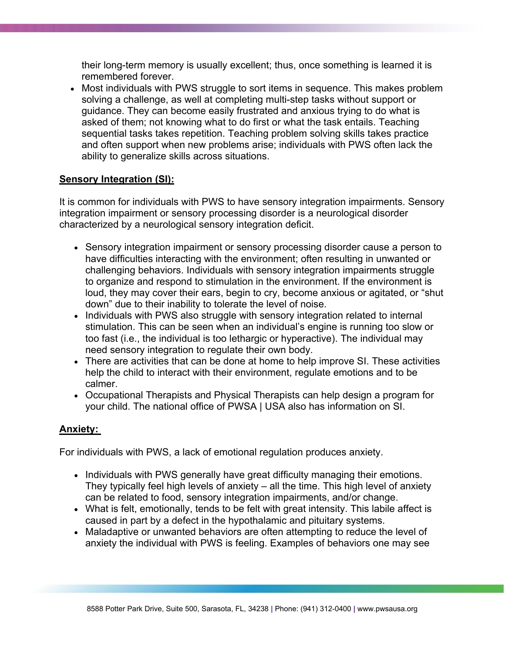their long-term memory is usually excellent; thus, once something is learned it is remembered forever.

• Most individuals with PWS struggle to sort items in sequence. This makes problem solving a challenge, as well at completing multi-step tasks without support or guidance. They can become easily frustrated and anxious trying to do what is asked of them; not knowing what to do first or what the task entails. Teaching sequential tasks takes repetition. Teaching problem solving skills takes practice and often support when new problems arise; individuals with PWS often lack the ability to generalize skills across situations.

#### **Sensory Integration (SI):**

It is common for individuals with PWS to have sensory integration impairments. Sensory integration impairment or sensory processing disorder is a neurological disorder characterized by a neurological sensory integration deficit.

- Sensory integration impairment or sensory processing disorder cause a person to have difficulties interacting with the environment; often resulting in unwanted or challenging behaviors. Individuals with sensory integration impairments struggle to organize and respond to stimulation in the environment. If the environment is loud, they may cover their ears, begin to cry, become anxious or agitated, or "shut down" due to their inability to tolerate the level of noise.
- Individuals with PWS also struggle with sensory integration related to internal stimulation. This can be seen when an individual's engine is running too slow or too fast (i.e., the individual is too lethargic or hyperactive). The individual may need sensory integration to regulate their own body.
- There are activities that can be done at home to help improve SI. These activities help the child to interact with their environment, regulate emotions and to be calmer.
- Occupational Therapists and Physical Therapists can help design a program for your child. The national office of PWSA | USA also has information on SI.

#### **Anxiety:**

For individuals with PWS, a lack of emotional regulation produces anxiety.

- Individuals with PWS generally have great difficulty managing their emotions. They typically feel high levels of anxiety – all the time. This high level of anxiety can be related to food, sensory integration impairments, and/or change.
- What is felt, emotionally, tends to be felt with great intensity. This labile affect is caused in part by a defect in the hypothalamic and pituitary systems.
- Maladaptive or unwanted behaviors are often attempting to reduce the level of anxiety the individual with PWS is feeling. Examples of behaviors one may see